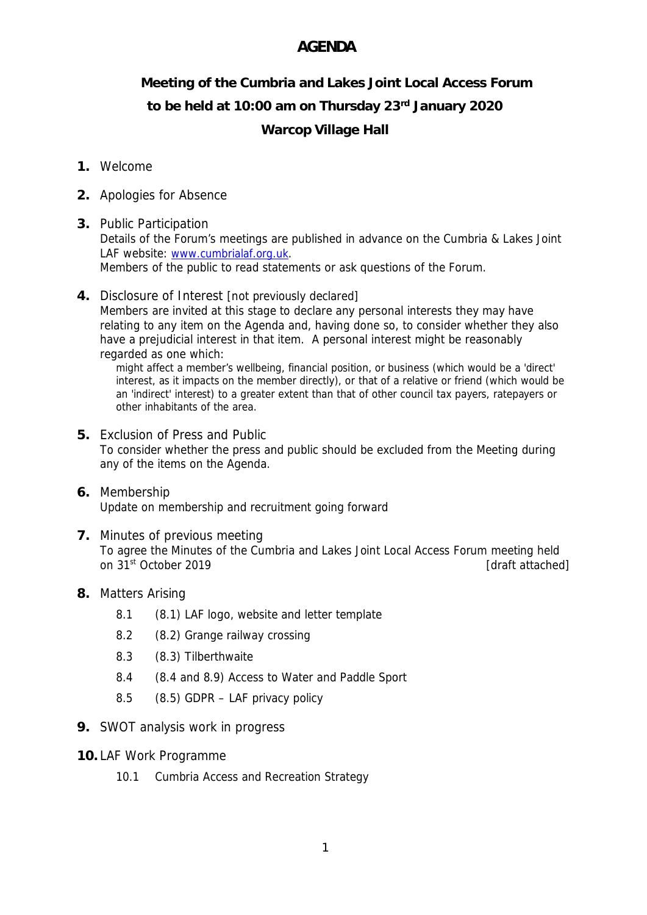## **AGENDA**

## **Meeting of the Cumbria and Lakes Joint Local Access Forum to be held at 10:00 am on Thursday 23rd January 2020 Warcop Village Hall**

## **1.** Welcome

- **2.** Apologies for Absence
- **3.** Public Participation Details of the Forum's meetings are published in advance on the Cumbria & Lakes Joint LAF website: www.cumbrialaf.org.uk. Members of the public to read statements or ask questions of the Forum.
- **4.** Disclosure of Interest [not previously declared] Members are invited at this stage to declare any personal interests they may have relating to any item on the Agenda and, having done so, to consider whether they also have a prejudicial interest in that item. A personal interest might be reasonably regarded as one which:

might affect a member's wellbeing, financial position, or business (which would be a 'direct' interest, as it impacts on the member directly), or that of a relative or friend (which would be an 'indirect' interest) to a greater extent than that of other council tax payers, ratepayers or other inhabitants of the area.

- **5.** Exclusion of Press and Public To consider whether the press and public should be excluded from the Meeting during any of the items on the Agenda.
- **6.** Membership Update on membership and recruitment going forward
- **7.** Minutes of previous meeting To agree the Minutes of the Cumbria and Lakes Joint Local Access Forum meeting held on 31<sup>st</sup> October 2019 **[draft attached]**
- **8.** Matters Arising
	- 8.1 (8.1) LAF logo, website and letter template
	- 8.2 (8.2) Grange railway crossing
	- 8.3 (8.3) Tilberthwaite
	- 8.4 (8.4 and 8.9) Access to Water and Paddle Sport
	- 8.5 (8.5) GDPR LAF privacy policy
- **9.** SWOT analysis work in progress
- **10.** LAF Work Programme
	- 10.1 Cumbria Access and Recreation Strategy